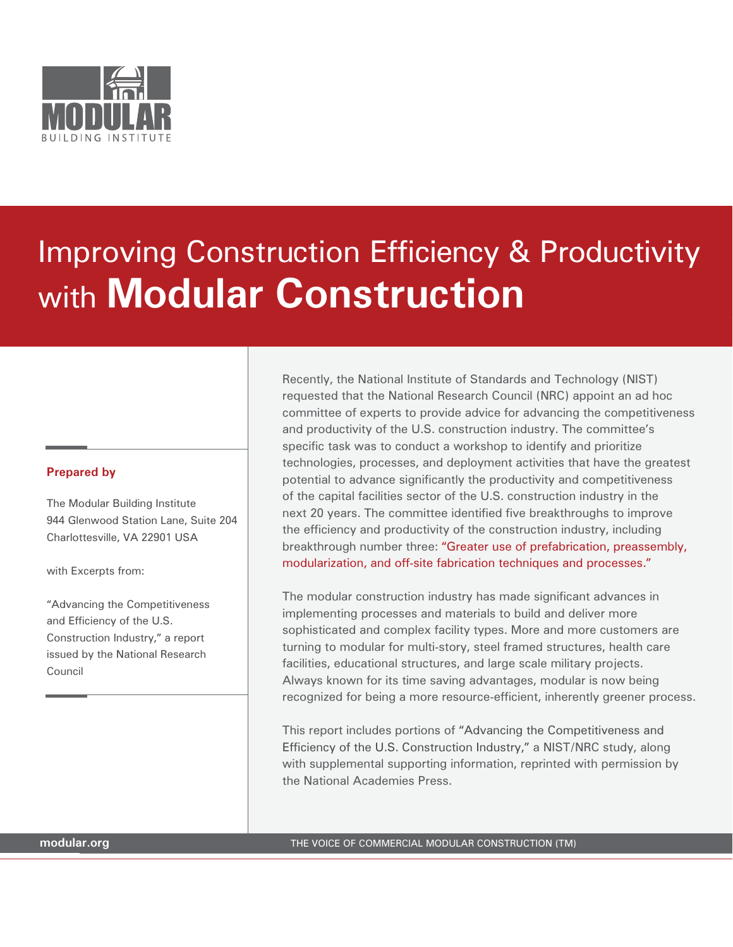

# Improving Construction Efficiency & Productivity with **Modular Construction**

#### **Prepared by**

The Modular Building Institute 944 Glenwood Station Lane, Suite 204 Charlottesville, VA 22901 USA

with Excerpts from:

"Advancing the Competitiveness and Efficiency of the U.S. Construction Industry," a report issued by the National Research Council

Recently, the National Institute of Standards and Technology (NIST) requested that the National Research Council (NRC) appoint an ad hoc committee of experts to provide advice for advancing the competitiveness and productivity of the U.S. construction industry. The committee's specific task was to conduct a workshop to identify and prioritize technologies, processes, and deployment activities that have the greatest potential to advance significantly the productivity and competitiveness of the capital facilities sector of the U.S. construction industry in the next 20 years. The committee identified five breakthroughs to improve the efficiency and productivity of the construction industry, including breakthrough number three: "Greater use of prefabrication, preassembly, modularization, and off-site fabrication techniques and processes."

The modular construction industry has made significant advances in implementing processes and materials to build and deliver more sophisticated and complex facility types. More and more customers are turning to modular for multi-story, steel framed structures, health care facilities, educational structures, and large scale military projects. Always known for its time saving advantages, modular is now being recognized for being a more resource-efficient, inherently greener process.

This report includes portions of "Advancing the Competitiveness and Efficiency of the U.S. Construction Industry," a NIST/NRC study, along with supplemental supporting information, reprinted with permission by the National Academies Press.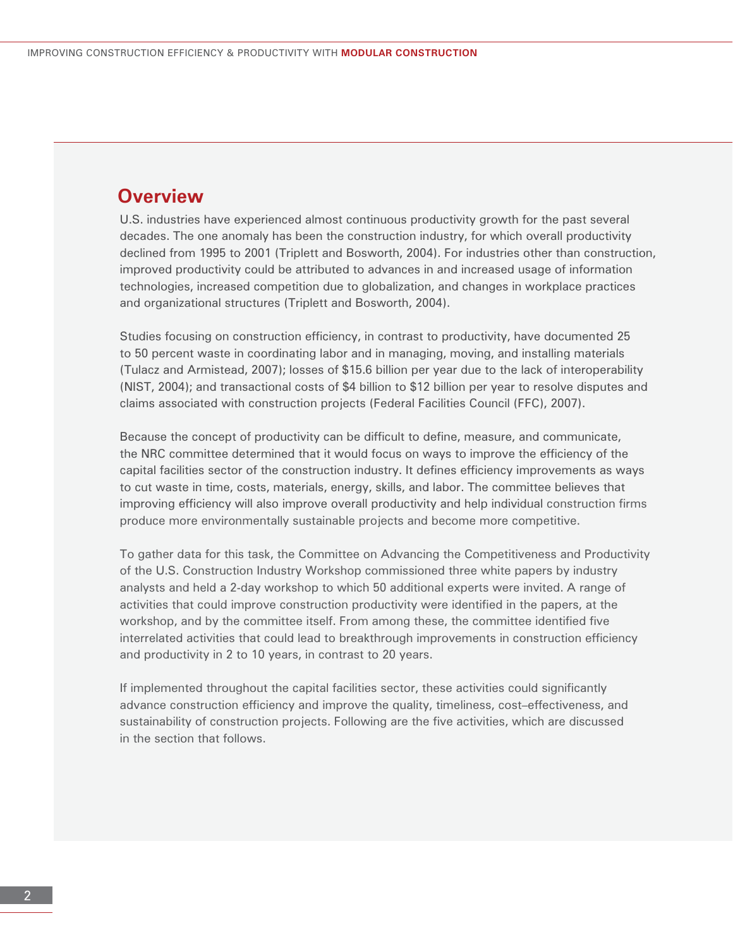# **Overview**

U.S. industries have experienced almost continuous productivity growth for the past several decades. The one anomaly has been the construction industry, for which overall productivity declined from 1995 to 2001 (Triplett and Bosworth, 2004). For industries other than construction, improved productivity could be attributed to advances in and increased usage of information technologies, increased competition due to globalization, and changes in workplace practices and organizational structures (Triplett and Bosworth, 2004).

Studies focusing on construction efficiency, in contrast to productivity, have documented 25 to 50 percent waste in coordinating labor and in managing, moving, and installing materials (Tulacz and Armistead, 2007); losses of \$15.6 billion per year due to the lack of interoperability (NIST, 2004); and transactional costs of \$4 billion to \$12 billion per year to resolve disputes and claims associated with construction projects (Federal Facilities Council (FFC), 2007).

Because the concept of productivity can be difficult to define, measure, and communicate, the NRC committee determined that it would focus on ways to improve the efficiency of the capital facilities sector of the construction industry. It defines efficiency improvements as ways to cut waste in time, costs, materials, energy, skills, and labor. The committee believes that improving efficiency will also improve overall productivity and help individual construction firms produce more environmentally sustainable projects and become more competitive.

To gather data for this task, the Committee on Advancing the Competitiveness and Productivity of the U.S. Construction Industry Workshop commissioned three white papers by industry analysts and held a 2-day workshop to which 50 additional experts were invited. A range of activities that could improve construction productivity were identified in the papers, at the workshop, and by the committee itself. From among these, the committee identified five interrelated activities that could lead to breakthrough improvements in construction efficiency and productivity in 2 to 10 years, in contrast to 20 years.

If implemented throughout the capital facilities sector, these activities could significantly advance construction efficiency and improve the quality, timeliness, cost–effectiveness, and sustainability of construction projects. Following are the five activities, which are discussed in the section that follows.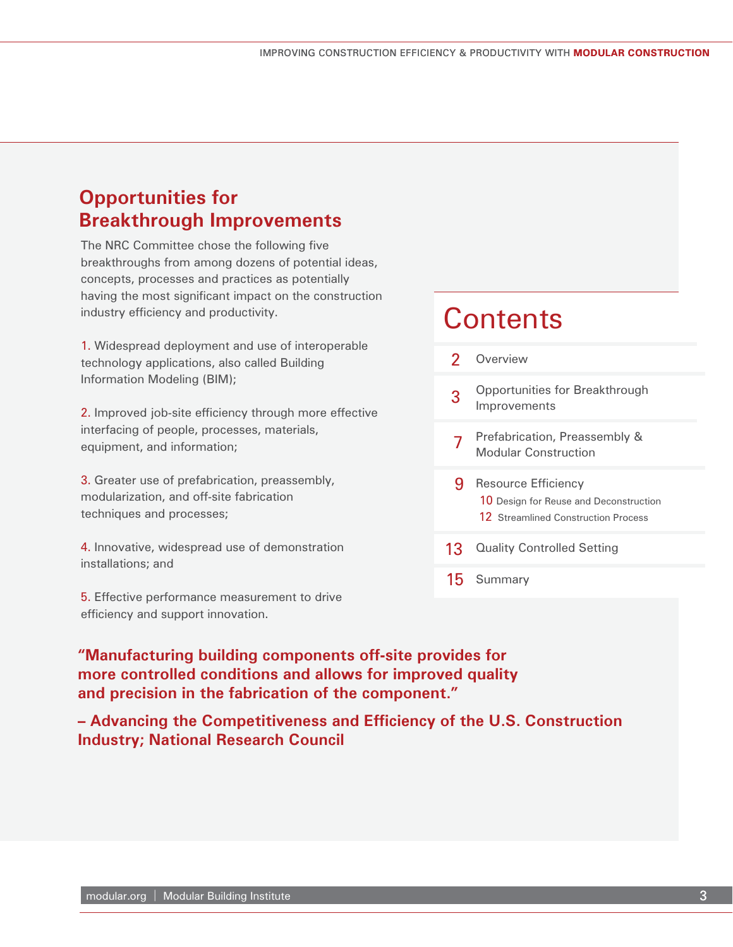# **Opportunities for Breakthrough Improvements**

The NRC Committee chose the following five breakthroughs from among dozens of potential ideas, concepts, processes and practices as potentially having the most significant impact on the construction industry efficiency and productivity.

1. Widespread deployment and use of interoperable technology applications, also called Building Information Modeling (BIM);

2. Improved job-site efficiency through more effective interfacing of people, processes, materials, equipment, and information;

3. Greater use of prefabrication, preassembly, modularization, and off-site fabrication techniques and processes;

4. Innovative, widespread use of demonstration installations; and

5. Effective performance measurement to drive efficiency and support innovation.

# **Contents**

- Overview 2
- Opportunities for Breakthrough Improvements 3
- 7 Prefabrication, Preassembly & Modular Construction
- 9 Resource Efficiency 10 Design for Reuse and Deconstruction 12 Streamlined Construction Process
- 13 Quality Controlled Setting
- 15 Summary

**"Manufacturing building components off-site provides for more controlled conditions and allows for improved quality and precision in the fabrication of the component."**

**– Advancing the Competitiveness and Efficiency of the U.S. Construction Industry; National Research Council**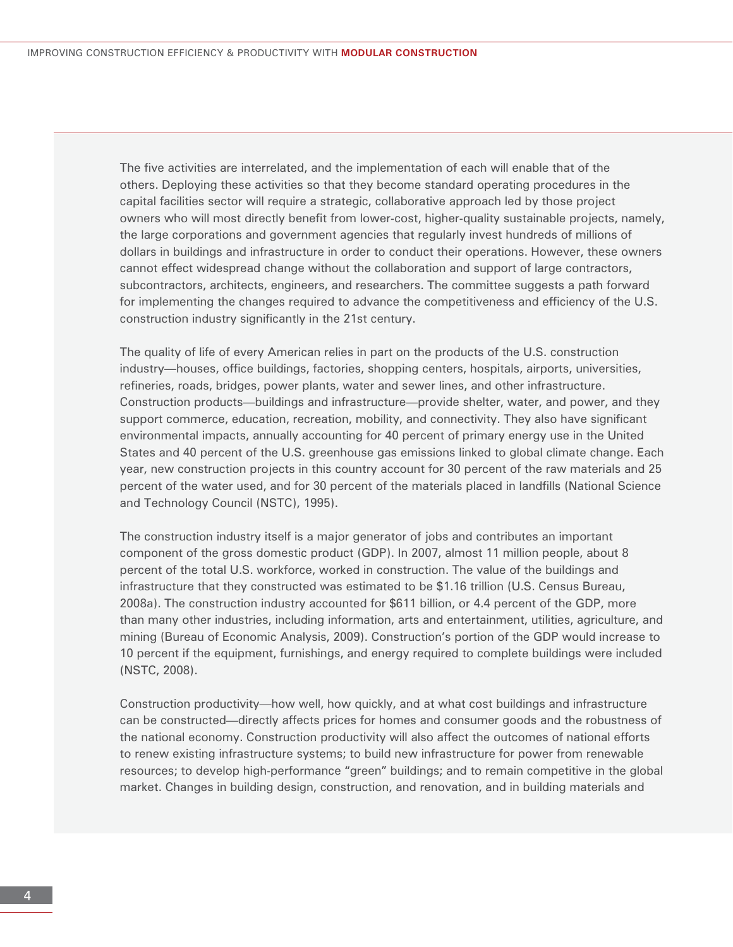The five activities are interrelated, and the implementation of each will enable that of the others. Deploying these activities so that they become standard operating procedures in the capital facilities sector will require a strategic, collaborative approach led by those project owners who will most directly benefit from lower-cost, higher-quality sustainable projects, namely, the large corporations and government agencies that regularly invest hundreds of millions of dollars in buildings and infrastructure in order to conduct their operations. However, these owners cannot effect widespread change without the collaboration and support of large contractors, subcontractors, architects, engineers, and researchers. The committee suggests a path forward for implementing the changes required to advance the competitiveness and efficiency of the U.S. construction industry significantly in the 21st century.

The quality of life of every American relies in part on the products of the U.S. construction industry—houses, office buildings, factories, shopping centers, hospitals, airports, universities, refineries, roads, bridges, power plants, water and sewer lines, and other infrastructure. Construction products—buildings and infrastructure—provide shelter, water, and power, and they support commerce, education, recreation, mobility, and connectivity. They also have significant environmental impacts, annually accounting for 40 percent of primary energy use in the United States and 40 percent of the U.S. greenhouse gas emissions linked to global climate change. Each year, new construction projects in this country account for 30 percent of the raw materials and 25 percent of the water used, and for 30 percent of the materials placed in landfills (National Science and Technology Council (NSTC), 1995).

The construction industry itself is a major generator of jobs and contributes an important component of the gross domestic product (GDP). In 2007, almost 11 million people, about 8 percent of the total U.S. workforce, worked in construction. The value of the buildings and infrastructure that they constructed was estimated to be \$1.16 trillion (U.S. Census Bureau, 2008a). The construction industry accounted for \$611 billion, or 4.4 percent of the GDP, more than many other industries, including information, arts and entertainment, utilities, agriculture, and mining (Bureau of Economic Analysis, 2009). Construction's portion of the GDP would increase to 10 percent if the equipment, furnishings, and energy required to complete buildings were included (NSTC, 2008).

Construction productivity—how well, how quickly, and at what cost buildings and infrastructure can be constructed—directly affects prices for homes and consumer goods and the robustness of the national economy. Construction productivity will also affect the outcomes of national efforts to renew existing infrastructure systems; to build new infrastructure for power from renewable resources; to develop high-performance "green" buildings; and to remain competitive in the global market. Changes in building design, construction, and renovation, and in building materials and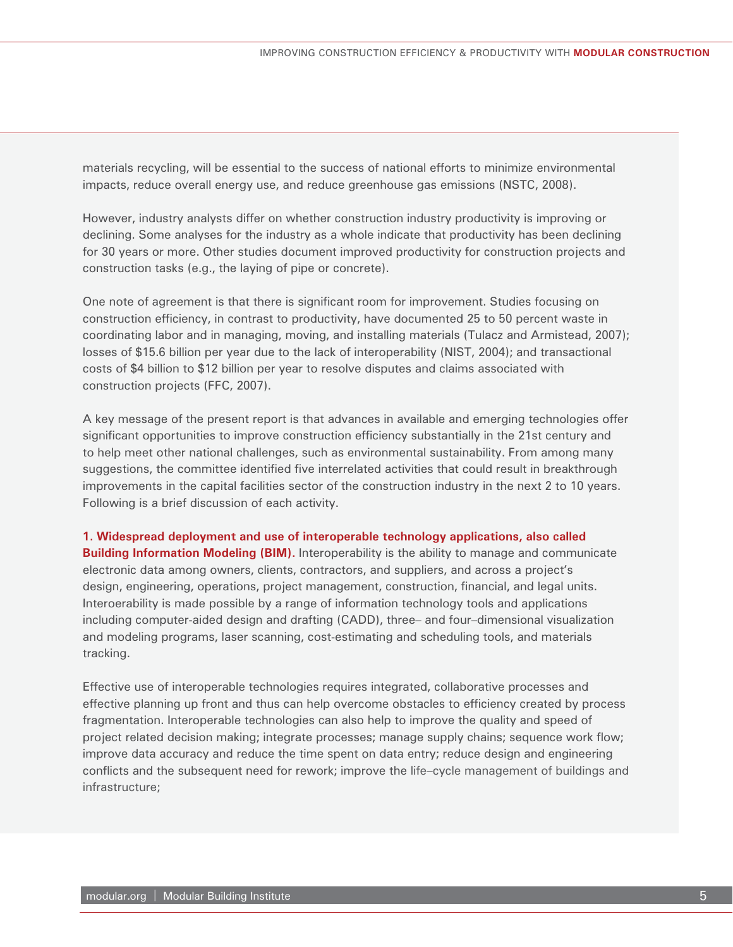materials recycling, will be essential to the success of national efforts to minimize environmental impacts, reduce overall energy use, and reduce greenhouse gas emissions (NSTC, 2008).

However, industry analysts differ on whether construction industry productivity is improving or declining. Some analyses for the industry as a whole indicate that productivity has been declining for 30 years or more. Other studies document improved productivity for construction projects and construction tasks (e.g., the laying of pipe or concrete).

One note of agreement is that there is significant room for improvement. Studies focusing on construction efficiency, in contrast to productivity, have documented 25 to 50 percent waste in coordinating labor and in managing, moving, and installing materials (Tulacz and Armistead, 2007); losses of \$15.6 billion per year due to the lack of interoperability (NIST, 2004); and transactional costs of \$4 billion to \$12 billion per year to resolve disputes and claims associated with construction projects (FFC, 2007).

A key message of the present report is that advances in available and emerging technologies offer significant opportunities to improve construction efficiency substantially in the 21st century and to help meet other national challenges, such as environmental sustainability. From among many suggestions, the committee identified five interrelated activities that could result in breakthrough improvements in the capital facilities sector of the construction industry in the next 2 to 10 years. Following is a brief discussion of each activity.

**1. Widespread deployment and use of interoperable technology applications, also called Building Information Modeling (BIM).** Interoperability is the ability to manage and communicate electronic data among owners, clients, contractors, and suppliers, and across a project's design, engineering, operations, project management, construction, financial, and legal units. Interoerability is made possible by a range of information technology tools and applications including computer-aided design and drafting (CADD), three– and four–dimensional visualization and modeling programs, laser scanning, cost-estimating and scheduling tools, and materials tracking.

Effective use of interoperable technologies requires integrated, collaborative processes and effective planning up front and thus can help overcome obstacles to efficiency created by process fragmentation. Interoperable technologies can also help to improve the quality and speed of project related decision making; integrate processes; manage supply chains; sequence work flow; improve data accuracy and reduce the time spent on data entry; reduce design and engineering conflicts and the subsequent need for rework; improve the life–cycle management of buildings and infrastructure;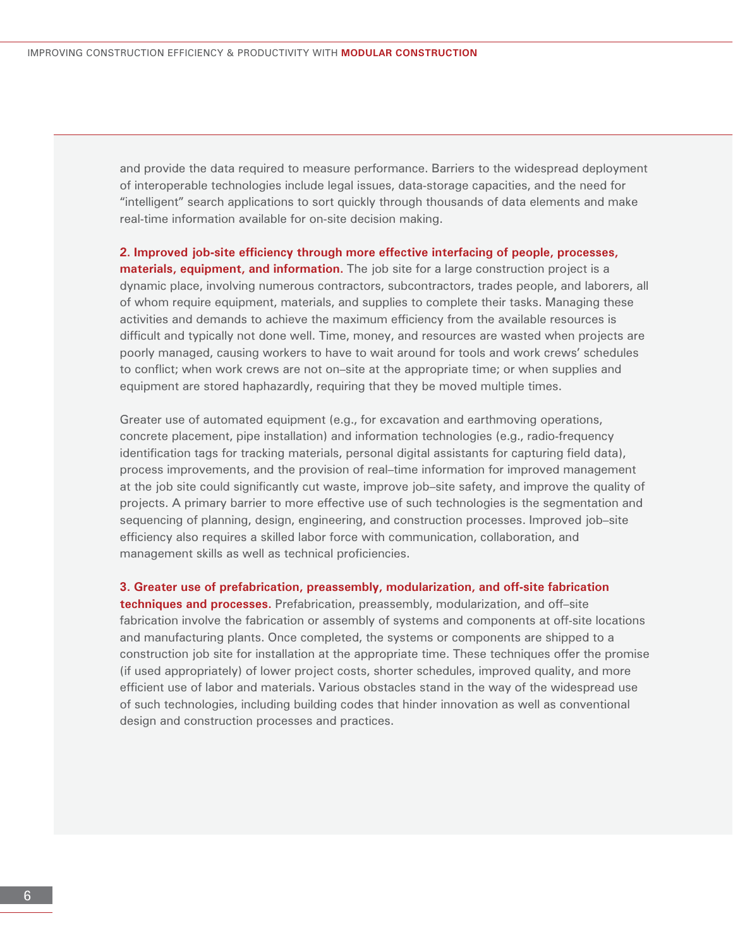and provide the data required to measure performance. Barriers to the widespread deployment of interoperable technologies include legal issues, data-storage capacities, and the need for "intelligent" search applications to sort quickly through thousands of data elements and make real-time information available for on-site decision making.

2. Improved job-site efficiency through more effective interfacing of people, processes, **materials, equipment, and information.** The job site for a large construction project is a dynamic place, involving numerous contractors, subcontractors, trades people, and laborers, all of whom require equipment, materials, and supplies to complete their tasks. Managing these activities and demands to achieve the maximum efficiency from the available resources is difficult and typically not done well. Time, money, and resources are wasted when projects are poorly managed, causing workers to have to wait around for tools and work crews' schedules to conflict; when work crews are not on–site at the appropriate time; or when supplies and equipment are stored haphazardly, requiring that they be moved multiple times.

Greater use of automated equipment (e.g., for excavation and earthmoving operations, concrete placement, pipe installation) and information technologies (e.g., radio-frequency identification tags for tracking materials, personal digital assistants for capturing field data), process improvements, and the provision of real–time information for improved management at the job site could significantly cut waste, improve job–site safety, and improve the quality of projects. A primary barrier to more effective use of such technologies is the segmentation and sequencing of planning, design, engineering, and construction processes. Improved job–site efficiency also requires a skilled labor force with communication, collaboration, and management skills as well as technical proficiencies.

**3. Greater use of prefabrication, preassembly, modularization, and off-site fabrication techniques and processes.** Prefabrication, preassembly, modularization, and off–site fabrication involve the fabrication or assembly of systems and components at off-site locations and manufacturing plants. Once completed, the systems or components are shipped to a construction job site for installation at the appropriate time. These techniques offer the promise (if used appropriately) of lower project costs, shorter schedules, improved quality, and more efficient use of labor and materials. Various obstacles stand in the way of the widespread use of such technologies, including building codes that hinder innovation as well as conventional design and construction processes and practices.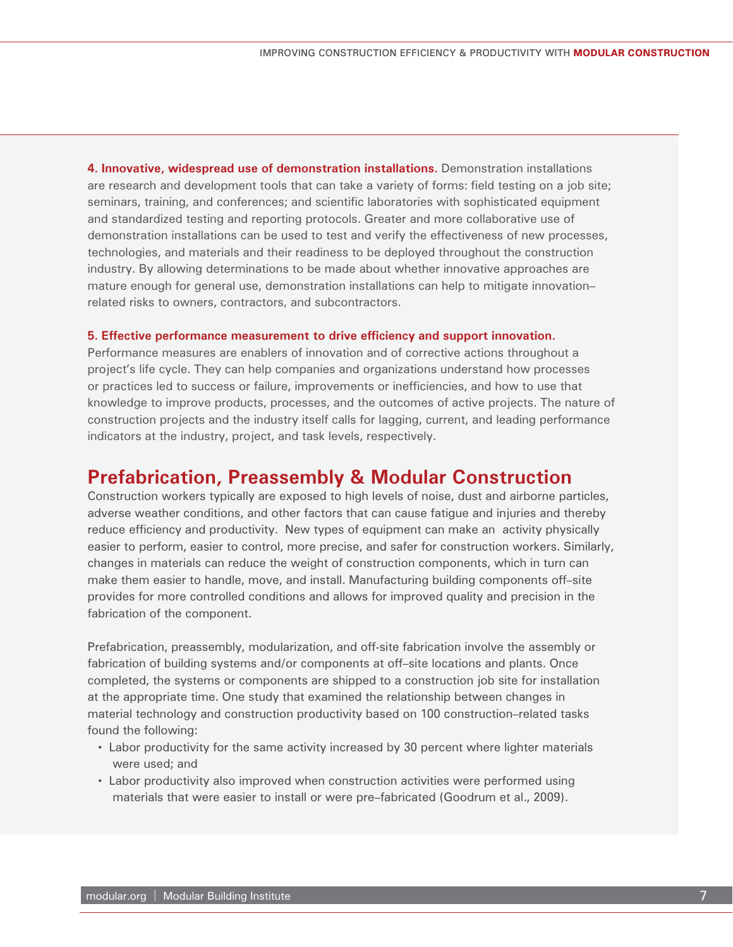**4. Innovative, widespread use of demonstration installations.** Demonstration installations are research and development tools that can take a variety of forms: field testing on a job site; seminars, training, and conferences; and scientific laboratories with sophisticated equipment and standardized testing and reporting protocols. Greater and more collaborative use of demonstration installations can be used to test and verify the effectiveness of new processes, technologies, and materials and their readiness to be deployed throughout the construction industry. By allowing determinations to be made about whether innovative approaches are mature enough for general use, demonstration installations can help to mitigate innovation– related risks to owners, contractors, and subcontractors.

#### **5. Effective performance measurement to drive efficiency and support innovation.**

Performance measures are enablers of innovation and of corrective actions throughout a project's life cycle. They can help companies and organizations understand how processes or practices led to success or failure, improvements or inefficiencies, and how to use that knowledge to improve products, processes, and the outcomes of active projects. The nature of construction projects and the industry itself calls for lagging, current, and leading performance indicators at the industry, project, and task levels, respectively.

### **Prefabrication, Preassembly & Modular Construction**

Construction workers typically are exposed to high levels of noise, dust and airborne particles, adverse weather conditions, and other factors that can cause fatigue and injuries and thereby reduce efficiency and productivity. New types of equipment can make an activity physically easier to perform, easier to control, more precise, and safer for construction workers. Similarly, changes in materials can reduce the weight of construction components, which in turn can make them easier to handle, move, and install. Manufacturing building components off–site provides for more controlled conditions and allows for improved quality and precision in the fabrication of the component.

Prefabrication, preassembly, modularization, and off-site fabrication involve the assembly or fabrication of building systems and/or components at off–site locations and plants. Once completed, the systems or components are shipped to a construction job site for installation at the appropriate time. One study that examined the relationship between changes in material technology and construction productivity based on 100 construction–related tasks found the following:

- Labor productivity for the same activity increased by 30 percent where lighter materials were used; and
- Labor productivity also improved when construction activities were performed using materials that were easier to install or were pre–fabricated (Goodrum et al., 2009).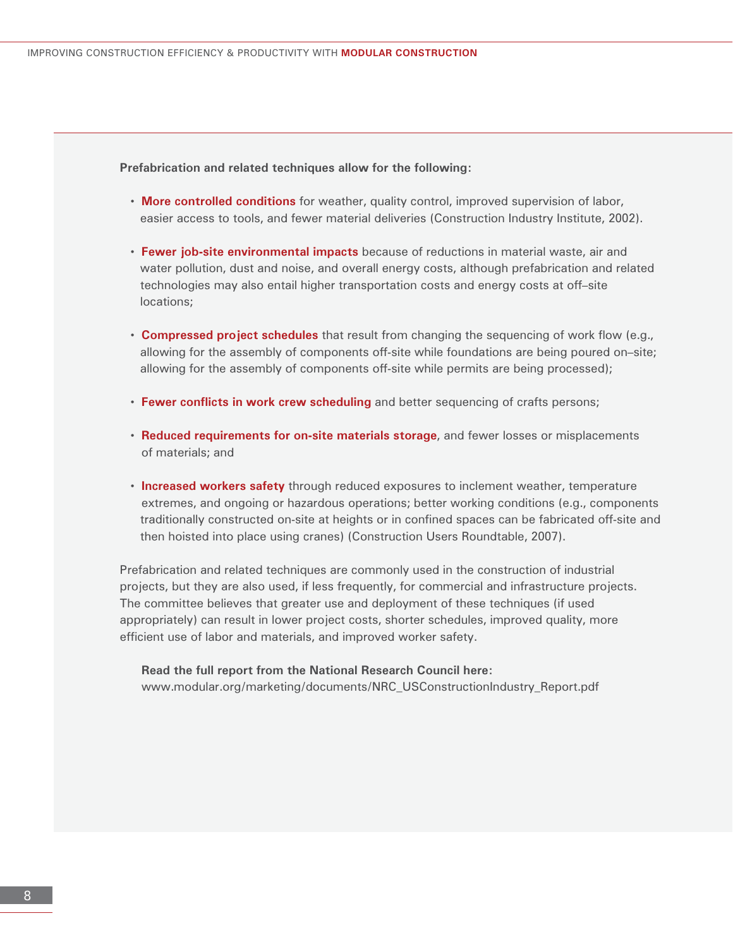#### **Prefabrication and related techniques allow for the following:**

- **More controlled conditions** for weather, quality control, improved supervision of labor, easier access to tools, and fewer material deliveries (Construction Industry Institute, 2002).
- **Fewer job-site environmental impacts** because of reductions in material waste, air and water pollution, dust and noise, and overall energy costs, although prefabrication and related technologies may also entail higher transportation costs and energy costs at off–site locations;
- **Compressed project schedules** that result from changing the sequencing of work flow (e.g., allowing for the assembly of components off-site while foundations are being poured on–site; allowing for the assembly of components off-site while permits are being processed);
- **Fewer conflicts in work crew scheduling** and better sequencing of crafts persons;
- **Reduced requirements for on-site materials storage**, and fewer losses or misplacements of materials; and
- **Increased workers safety** through reduced exposures to inclement weather, temperature extremes, and ongoing or hazardous operations; better working conditions (e.g., components traditionally constructed on-site at heights or in confined spaces can be fabricated off-site and then hoisted into place using cranes) (Construction Users Roundtable, 2007).

Prefabrication and related techniques are commonly used in the construction of industrial projects, but they are also used, if less frequently, for commercial and infrastructure projects. The committee believes that greater use and deployment of these techniques (if used appropriately) can result in lower project costs, shorter schedules, improved quality, more efficient use of labor and materials, and improved worker safety.

 **Read the full report from the National Research Council here:** www.modular.org/marketing/documents/NRC\_USConstructionIndustry\_Report.pdf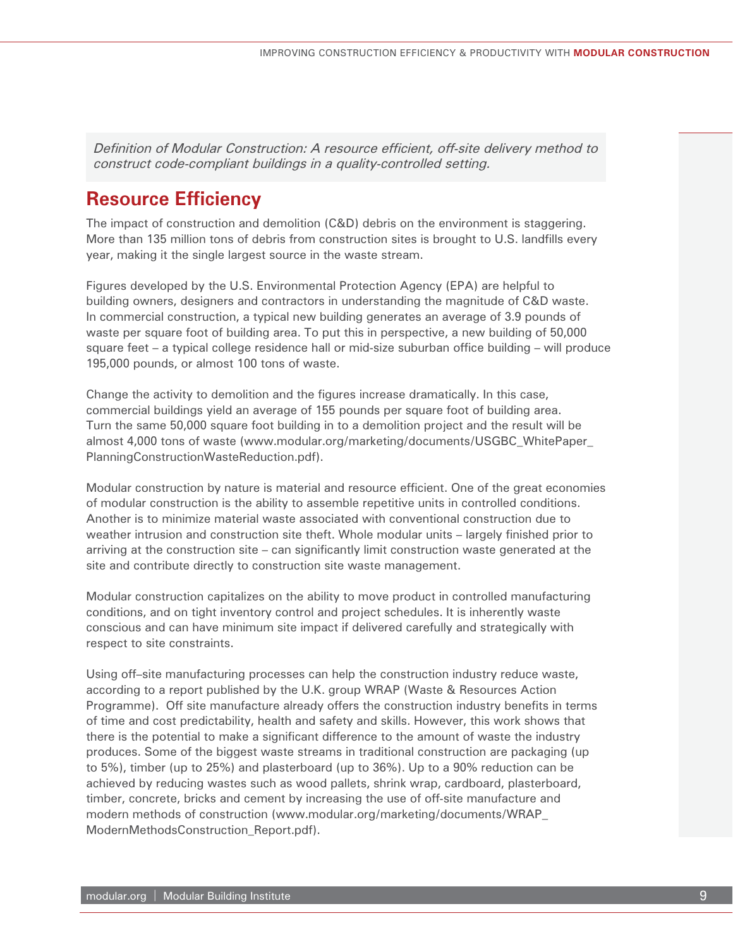*Definition of Modular Construction: A resource efficient, off-site delivery method to construct code-compliant buildings in a quality-controlled setting.*

# **Resource Efficiency**

The impact of construction and demolition (C&D) debris on the environment is staggering. More than 135 million tons of debris from construction sites is brought to U.S. landfills every year, making it the single largest source in the waste stream.

Figures developed by the U.S. Environmental Protection Agency (EPA) are helpful to building owners, designers and contractors in understanding the magnitude of C&D waste. In commercial construction, a typical new building generates an average of 3.9 pounds of waste per square foot of building area. To put this in perspective, a new building of 50,000 square feet – a typical college residence hall or mid-size suburban office building – will produce 195,000 pounds, or almost 100 tons of waste.

Change the activity to demolition and the figures increase dramatically. In this case, commercial buildings yield an average of 155 pounds per square foot of building area. Turn the same 50,000 square foot building in to a demolition project and the result will be almost 4,000 tons of waste (www.modular.org/marketing/documents/USGBC\_WhitePaper\_ PlanningConstructionWasteReduction.pdf).

Modular construction by nature is material and resource efficient. One of the great economies of modular construction is the ability to assemble repetitive units in controlled conditions. Another is to minimize material waste associated with conventional construction due to weather intrusion and construction site theft. Whole modular units – largely finished prior to arriving at the construction site – can significantly limit construction waste generated at the site and contribute directly to construction site waste management.

Modular construction capitalizes on the ability to move product in controlled manufacturing conditions, and on tight inventory control and project schedules. It is inherently waste conscious and can have minimum site impact if delivered carefully and strategically with respect to site constraints.

Using off–site manufacturing processes can help the construction industry reduce waste, according to a report published by the U.K. group WRAP (Waste & Resources Action Programme). Off site manufacture already offers the construction industry benefits in terms of time and cost predictability, health and safety and skills. However, this work shows that there is the potential to make a significant difference to the amount of waste the industry produces. Some of the biggest waste streams in traditional construction are packaging (up to 5%), timber (up to 25%) and plasterboard (up to 36%). Up to a 90% reduction can be achieved by reducing wastes such as wood pallets, shrink wrap, cardboard, plasterboard, timber, concrete, bricks and cement by increasing the use of off-site manufacture and modern methods of construction (www.modular.org/marketing/documents/WRAP\_ ModernMethodsConstruction\_Report.pdf).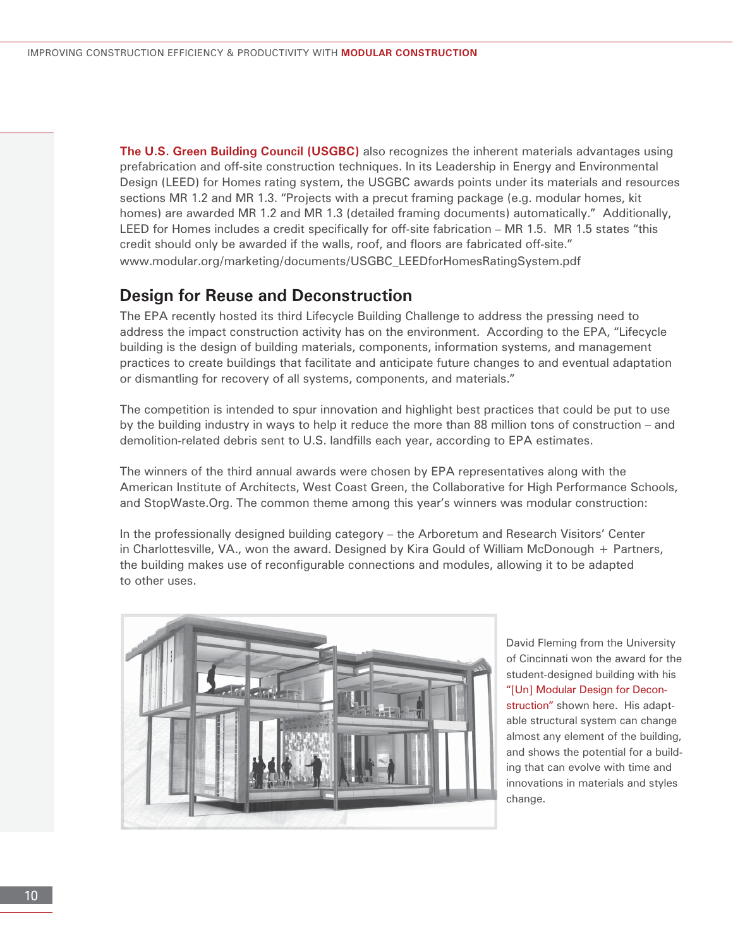**The U.S. Green Building Council (USGBC)** also recognizes the inherent materials advantages using prefabrication and off-site construction techniques. In its Leadership in Energy and Environmental Design (LEED) for Homes rating system, the USGBC awards points under its materials and resources sections MR 1.2 and MR 1.3. "Projects with a precut framing package (e.g. modular homes, kit homes) are awarded MR 1.2 and MR 1.3 (detailed framing documents) automatically." Additionally, LEED for Homes includes a credit specifically for off-site fabrication – MR 1.5. MR 1.5 states "this credit should only be awarded if the walls, roof, and floors are fabricated off-site." www.modular.org/marketing/documents/USGBC\_LEEDforHomesRatingSystem.pdf

#### **Design for Reuse and Deconstruction**

The EPA recently hosted its third Lifecycle Building Challenge to address the pressing need to address the impact construction activity has on the environment. According to the EPA, "Lifecycle building is the design of building materials, components, information systems, and management practices to create buildings that facilitate and anticipate future changes to and eventual adaptation or dismantling for recovery of all systems, components, and materials."

The competition is intended to spur innovation and highlight best practices that could be put to use by the building industry in ways to help it reduce the more than 88 million tons of construction – and demolition-related debris sent to U.S. landfills each year, according to EPA estimates.

The winners of the third annual awards were chosen by EPA representatives along with the American Institute of Architects, West Coast Green, the Collaborative for High Performance Schools, and StopWaste.Org. The common theme among this year's winners was modular construction:

In the professionally designed building category – the Arboretum and Research Visitors' Center in Charlottesville, VA., won the award. Designed by Kira Gould of William McDonough + Partners, the building makes use of reconfigurable connections and modules, allowing it to be adapted to other uses.



David Fleming from the University of Cincinnati won the award for the student-designed building with his "[Un] Modular Design for Deconstruction" shown here. His adaptable structural system can change almost any element of the building, and shows the potential for a building that can evolve with time and innovations in materials and styles change.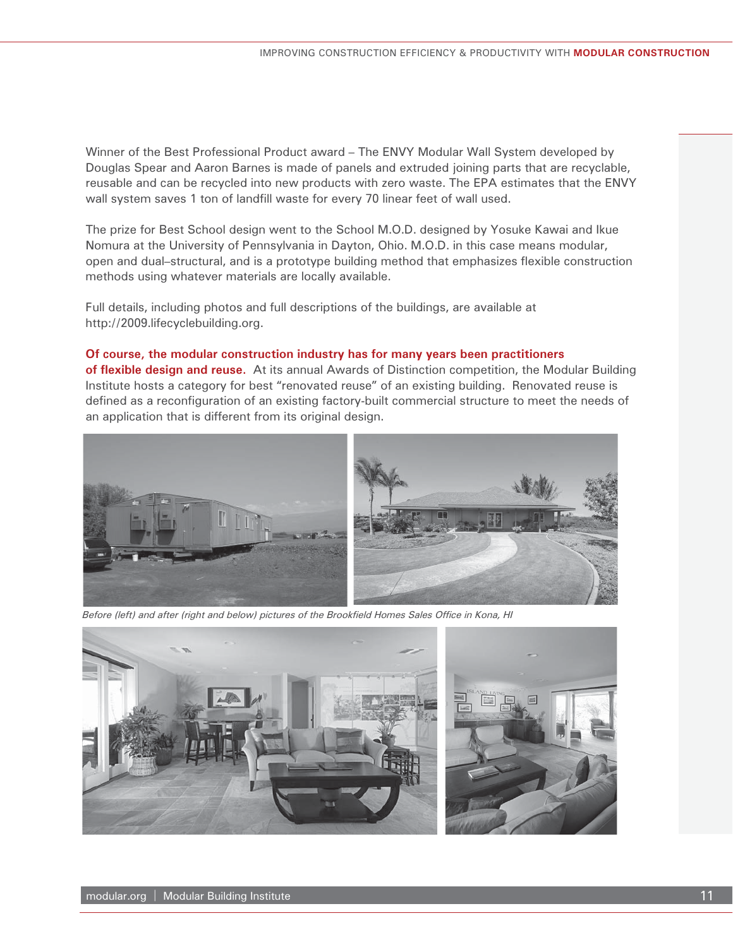Winner of the Best Professional Product award – The ENVY Modular Wall System developed by Douglas Spear and Aaron Barnes is made of panels and extruded joining parts that are recyclable, reusable and can be recycled into new products with zero waste. The EPA estimates that the ENVY wall system saves 1 ton of landfill waste for every 70 linear feet of wall used.

The prize for Best School design went to the School M.O.D. designed by Yosuke Kawai and Ikue Nomura at the University of Pennsylvania in Dayton, Ohio. M.O.D. in this case means modular, open and dual–structural, and is a prototype building method that emphasizes flexible construction methods using whatever materials are locally available.

Full details, including photos and full descriptions of the buildings, are available at http://2009.lifecyclebuilding.org.

#### **Of course, the modular construction industry has for many years been practitioners**

**of flexible design and reuse.** At its annual Awards of Distinction competition, the Modular Building Institute hosts a category for best "renovated reuse" of an existing building. Renovated reuse is defined as a reconfiguration of an existing factory-built commercial structure to meet the needs of an application that is different from its original design.



Before (left) and after (right and below) pictures of the Brookfield Homes Sales Office in Kona, HI

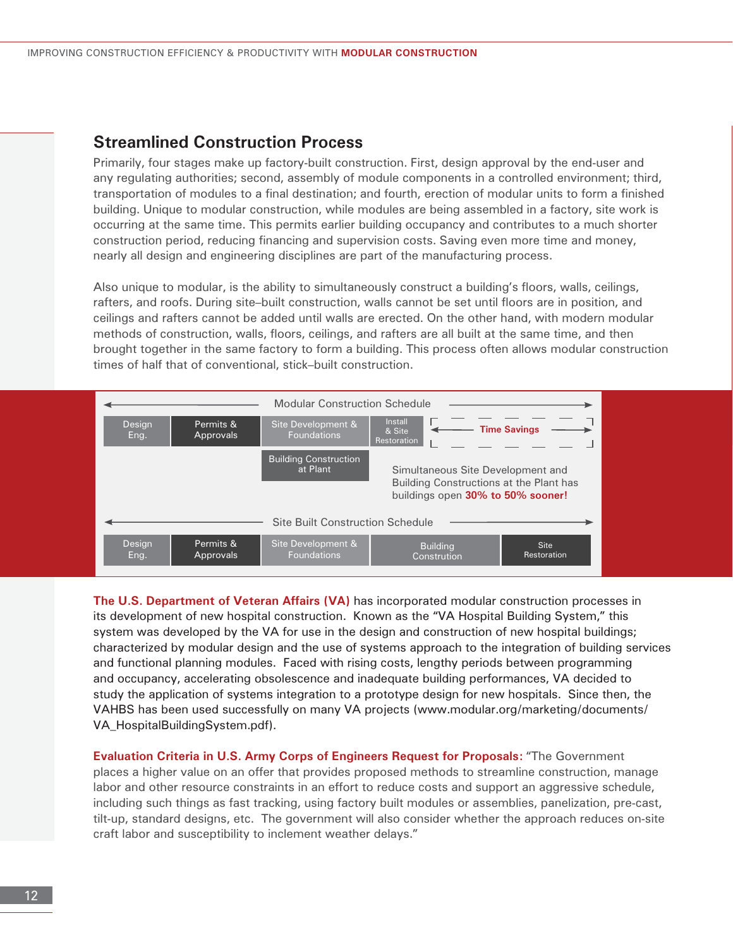#### **Streamlined Construction Process**

Primarily, four stages make up factory-built construction. First, design approval by the end-user and any regulating authorities; second, assembly of module components in a controlled environment; third, transportation of modules to a final destination; and fourth, erection of modular units to form a finished building. Unique to modular construction, while modules are being assembled in a factory, site work is occurring at the same time. This permits earlier building occupancy and contributes to a much shorter construction period, reducing financing and supervision costs. Saving even more time and money, nearly all design and engineering disciplines are part of the manufacturing process.

Also unique to modular, is the ability to simultaneously construct a building's floors, walls, ceilings, rafters, and roofs. During site–built construction, walls cannot be set until floors are in position, and ceilings and rafters cannot be added until walls are erected. On the other hand, with modern modular methods of construction, walls, floors, ceilings, and rafters are all built at the same time, and then brought together in the same factory to form a building. This process often allows modular construction times of half that of conventional, stick–built construction.



**The U.S. Department of Veteran Affairs (VA)** has incorporated modular construction processes in its development of new hospital construction. Known as the "VA Hospital Building System," this system was developed by the VA for use in the design and construction of new hospital buildings; characterized by modular design and the use of systems approach to the integration of building services and functional planning modules. Faced with rising costs, lengthy periods between programming and occupancy, accelerating obsolescence and inadequate building performances, VA decided to study the application of systems integration to a prototype design for new hospitals. Since then, the VAHBS has been used successfully on many VA projects (www.modular.org/marketing/documents/ VA\_HospitalBuildingSystem.pdf).

**Evaluation Criteria in U.S. Army Corps of Engineers Request for Proposals:** "The Government places a higher value on an offer that provides proposed methods to streamline construction, manage labor and other resource constraints in an effort to reduce costs and support an aggressive schedule, including such things as fast tracking, using factory built modules or assemblies, panelization, pre-cast, tilt-up, standard designs, etc. The government will also consider whether the approach reduces on-site craft labor and susceptibility to inclement weather delays."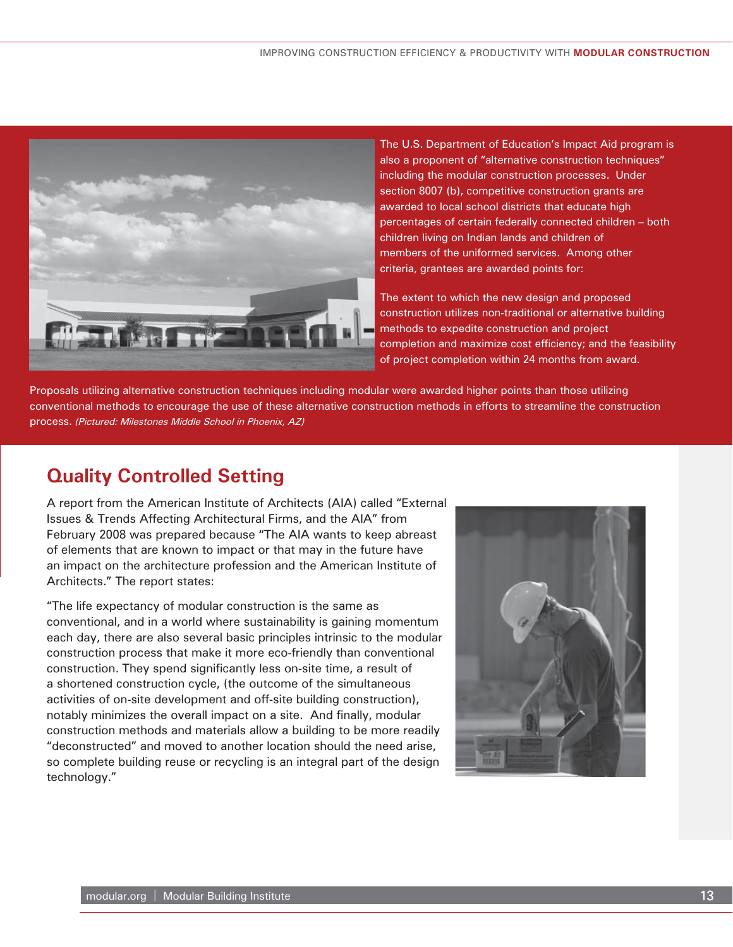

The U.S. Department of Education's Impact Aid program is also a proponent of "alternative construction techniques" including the modular construction processes. Under section 8007 (b), competitive construction grants are awarded to local school districts that educate high percentages of certain federally connected children – both children living on Indian lands and children of members of the uniformed services. Among other criteria, grantees are awarded points for:

The extent to which the new design and proposed construction utilizes non-traditional or alternative building methods to expedite construction and project completion and maximize cost efficiency; and the feasibility of project completion within 24 months from award.

Proposals utilizing alternative construction techniques including modular were awarded higher points than those utilizing conventional methods to encourage the use of these alternative construction methods in efforts to streamline the construction process. *(Pictured: Milestones Middle School in Phoenix, AZ)*

# **Quality Controlled Setting**

A report from the American Institute of Architects (AIA) called "External Issues & Trends Affecting Architectural Firms, and the AIA" from February 2008 was prepared because "The AIA wants to keep abreast of elements that are known to impact or that may in the future have an impact on the architecture profession and the American Institute of Architects." The report states:

"The life expectancy of modular construction is the same as conventional, and in a world where sustainability is gaining momentum each day, there are also several basic principles intrinsic to the modular construction process that make it more eco-friendly than conventional construction. They spend significantly less on-site time, a result of a shortened construction cycle, (the outcome of the simultaneous activities of on-site development and off-site building construction), notably minimizes the overall impact on a site. And finally, modular construction methods and materials allow a building to be more readily "deconstructed" and moved to another location should the need arise, so complete building reuse or recycling is an integral part of the design technology."

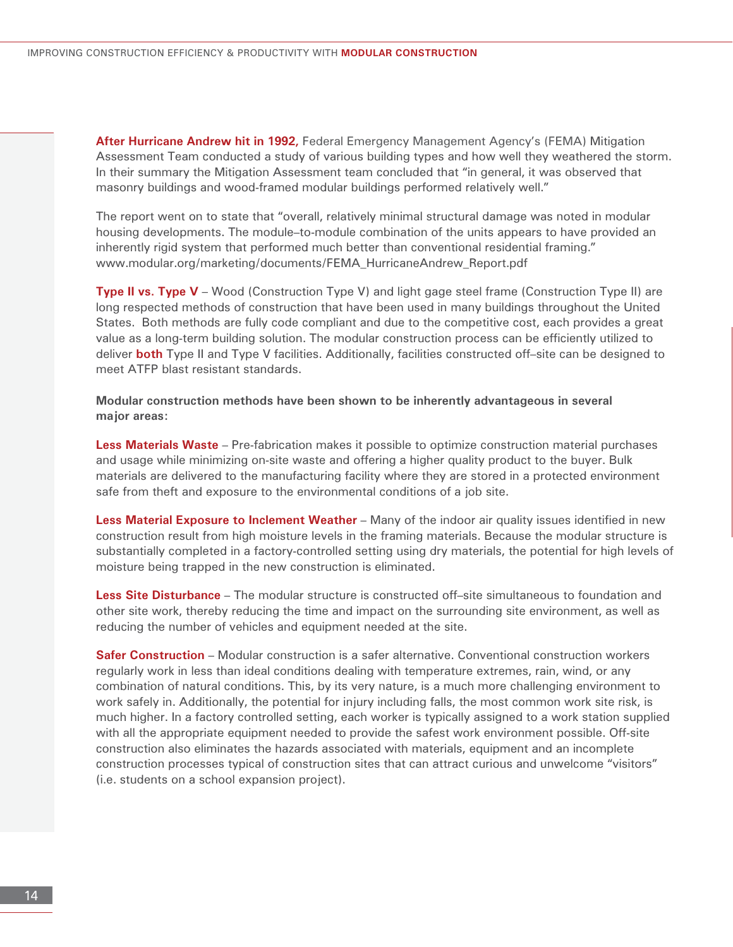**After Hurricane Andrew hit in 1992,** Federal Emergency Management Agency's (FEMA) Mitigation Assessment Team conducted a study of various building types and how well they weathered the storm. In their summary the Mitigation Assessment team concluded that "in general, it was observed that masonry buildings and wood-framed modular buildings performed relatively well."

The report went on to state that "overall, relatively minimal structural damage was noted in modular housing developments. The module–to-module combination of the units appears to have provided an inherently rigid system that performed much better than conventional residential framing." www.modular.org/marketing/documents/FEMA\_HurricaneAndrew\_Report.pdf

**Type II vs. Type V** – Wood (Construction Type V) and light gage steel frame (Construction Type II) are long respected methods of construction that have been used in many buildings throughout the United States. Both methods are fully code compliant and due to the competitive cost, each provides a great value as a long-term building solution. The modular construction process can be efficiently utilized to deliver **both** Type II and Type V facilities. Additionally, facilities constructed off–site can be designed to meet ATFP blast resistant standards.

**Modular construction methods have been shown to be inherently advantageous in several major areas:**

**Less Materials Waste** – Pre-fabrication makes it possible to optimize construction material purchases and usage while minimizing on-site waste and offering a higher quality product to the buyer. Bulk materials are delivered to the manufacturing facility where they are stored in a protected environment safe from theft and exposure to the environmental conditions of a job site.

**Less Material Exposure to Inclement Weather** – Many of the indoor air quality issues identified in new construction result from high moisture levels in the framing materials. Because the modular structure is substantially completed in a factory-controlled setting using dry materials, the potential for high levels of moisture being trapped in the new construction is eliminated.

**Less Site Disturbance** – The modular structure is constructed off–site simultaneous to foundation and other site work, thereby reducing the time and impact on the surrounding site environment, as well as reducing the number of vehicles and equipment needed at the site.

**Safer Construction** – Modular construction is a safer alternative. Conventional construction workers regularly work in less than ideal conditions dealing with temperature extremes, rain, wind, or any combination of natural conditions. This, by its very nature, is a much more challenging environment to work safely in. Additionally, the potential for injury including falls, the most common work site risk, is much higher. In a factory controlled setting, each worker is typically assigned to a work station supplied with all the appropriate equipment needed to provide the safest work environment possible. Off-site construction also eliminates the hazards associated with materials, equipment and an incomplete construction processes typical of construction sites that can attract curious and unwelcome "visitors" (i.e. students on a school expansion project).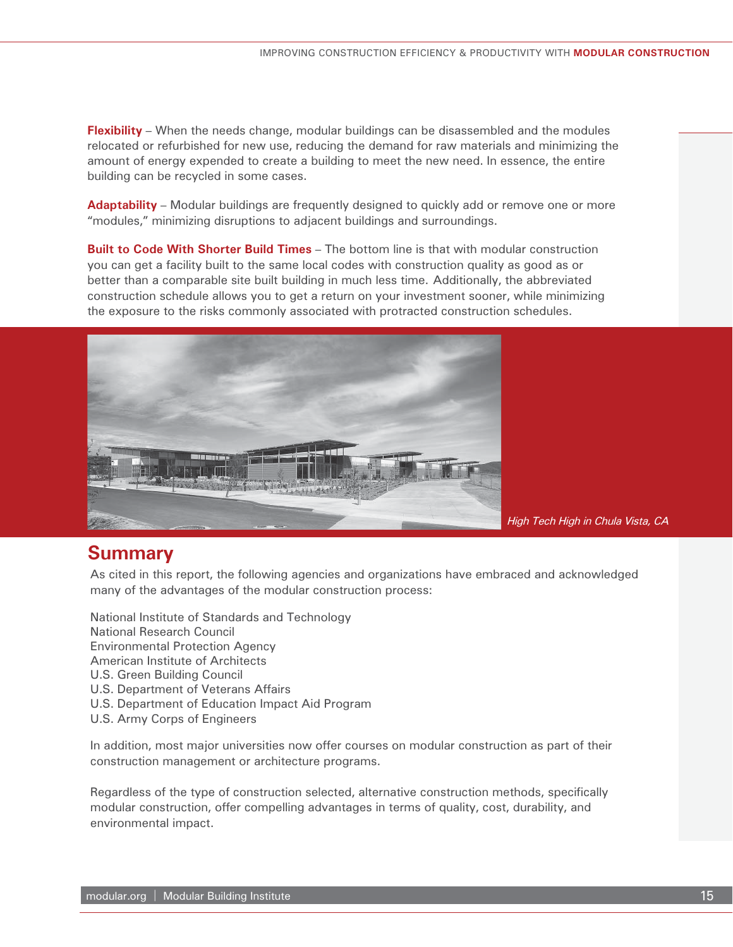amount of energy expended to create a building to meet the new need. In essence, the entire building can be recycled in some cases. **Flexibility** – When the needs change, modular buildings can be disassembled and the modules relocated or refurbished for new use, reducing the demand for raw materials and minimizing the

**Adaptability** – Modular buildings are frequently designed to quickly add or remove one or more "modules," minimizing disruptions to adjacent buildings and surroundings.

**Built to Code With Shorter Build Times** – The bottom line is that with modular construction you can get a facility built to the same local codes with construction quality as good as or better than a comparable site built building in much less time. Additionally, the abbreviated construction schedule allows you to get a return on your investment sooner, while minimizing the exposure to the risks commonly associated with protracted construction schedules.



*High Tech High in Chula Vista, CA* 

## **Summary**

As cited in this report, the following agencies and organizations have embraced and acknowledged many of the advantages of the modular construction process:

National Institute of Standards and Technology National Research Council Environmental Protection Agency American Institute of Architects U.S. Green Building Council U.S. Department of Veterans Affairs U.S. Department of Education Impact Aid Program U.S. Army Corps of Engineers

In addition, most major universities now offer courses on modular construction as part of their construction management or architecture programs.

Regardless of the type of construction selected, alternative construction methods, specifically modular construction, offer compelling advantages in terms of quality, cost, durability, and environmental impact.